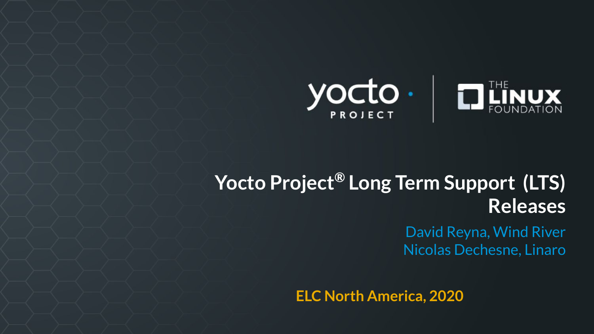

## **Yocto Project® Long Term Support (LTS) Releases**

David Reyna, Wind River Nicolas Dechesne, Linaro

**ELC North America, 2020**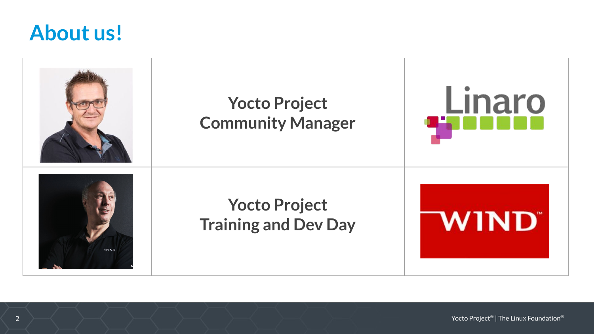#### **About us!**

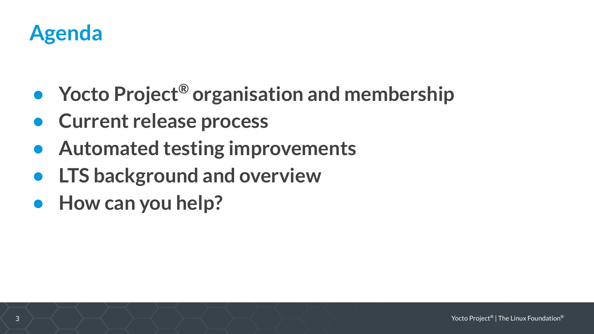

- **• Yocto Project® organisation and membership**
- **• Current release process**
- **• Automated testing improvements**
- **• LTS background and overview**
- **• How can you help?**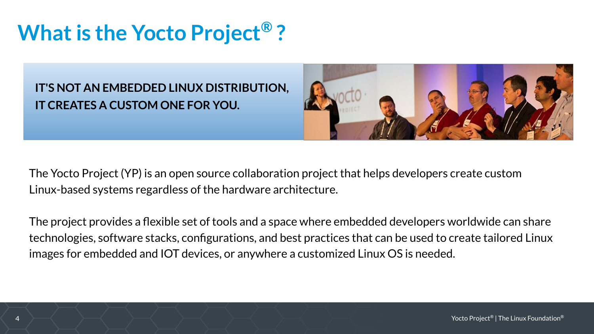## **What is the Yocto Project® ?**

**IT'S NOT AN EMBEDDED LINUX DISTRIBUTION, IT CREATES A CUSTOM ONE FOR YOU.**



The Yocto Project (YP) is an open source collaboration project that helps developers create custom Linux-based systems regardless of the hardware architecture.

The project provides a flexible set of tools and a space where embedded developers worldwide can share technologies, software stacks, configurations, and best practices that can be used to create tailored Linux images for embedded and IOT devices, or anywhere a customized Linux OS is needed.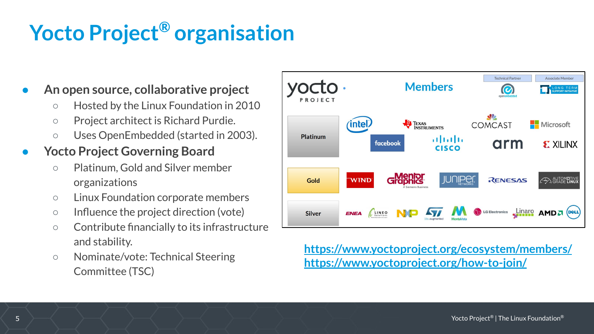# **Yocto Project® organisation**

#### **● An open source, collaborative project**

- Hosted by the Linux Foundation in 2010
- Project architect is Richard Purdie.
- Uses OpenEmbedded (started in 2003).

#### **● Yocto Project Governing Board**

- Platinum, Gold and Silver member organizations
- Linux Foundation corporate members
- Influence the project direction (vote)
- Contribute financially to its infrastructure and stability.
- Nominate/vote: Technical Steering Committee (TSC)



#### **<https://www.yoctoproject.org/ecosystem/members/> <https://www.yoctoproject.org/how-to-join/>**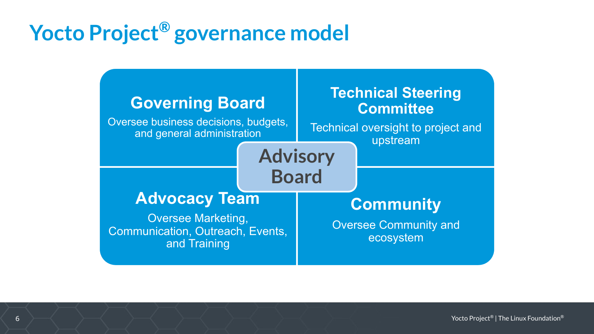## **Yocto Project® governance model**

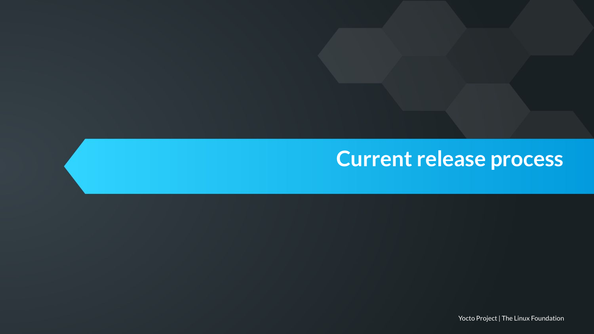## **Current release process**

Yocto Project | The Linux Foundation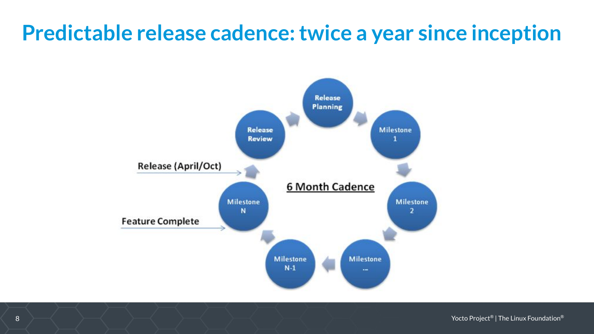#### **Predictable release cadence: twice a year since inception**



8 Yocto Project® | The Linux Foundation®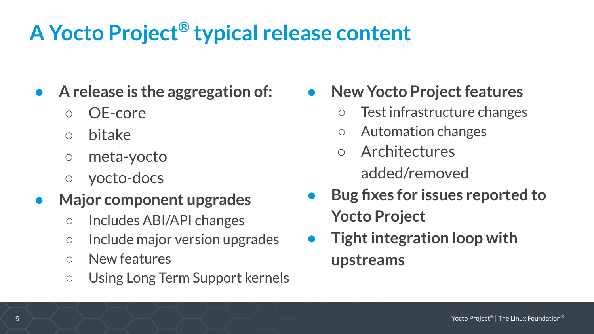## **A Yocto Project® typical release content**

- **● A release is the aggregation of:** 
	- OE-core
	- bitake
	- meta-yocto
	- yocto-docs
- **● Major component upgrades**
	- Includes ABI/API changes
	- Include major version upgrades
	- New features
	- Using Long Term Support kernels

**● New Yocto Project features**

- Test infrastructure changes
- Automation changes
- **Architectures** added/removed
- **● Bug fixes for issues reported to Yocto Project**
- **● Tight integration loop with upstreams**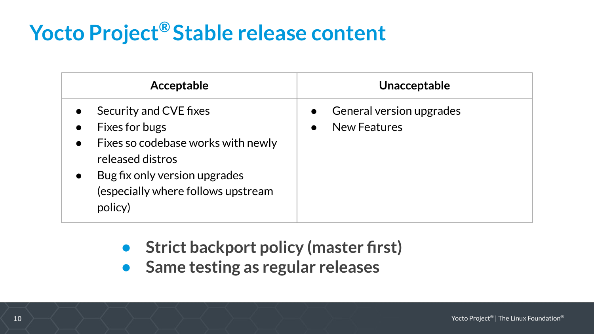# **Yocto Project® Stable release content**

| Acceptable                                                                                                                                                                                                                               | Unacceptable                                                                     |
|------------------------------------------------------------------------------------------------------------------------------------------------------------------------------------------------------------------------------------------|----------------------------------------------------------------------------------|
| Security and CVE fixes<br>$\bullet$<br>Fixes for bugs<br>$\bullet$<br>Fixes so codebase works with newly<br>$\bullet$<br>released distros<br>Bug fix only version upgrades<br>$\bullet$<br>(especially where follows upstream<br>policy) | <b>General version upgrades</b><br>$\bullet$<br><b>New Features</b><br>$\bullet$ |

- **• Strict backport policy (master first)**
- **• Same testing as regular releases**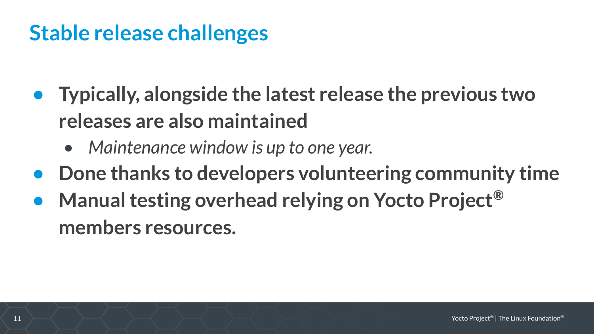#### **Stable release challenges**

- **• Typically, alongside the latest release the previous two releases are also maintained**
	- *• Maintenance window is up to one year.*
- **• Done thanks to developers volunteering community time**
- **• Manual testing overhead relying on Yocto Project® members resources.**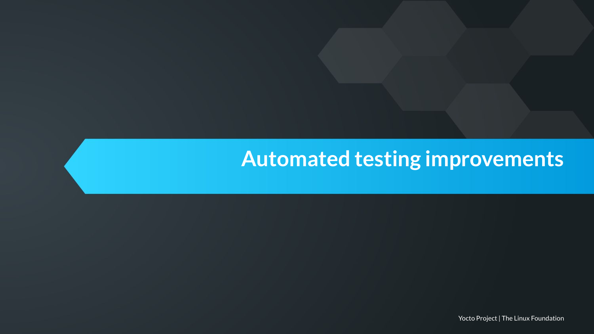#### **Automated testing improvements**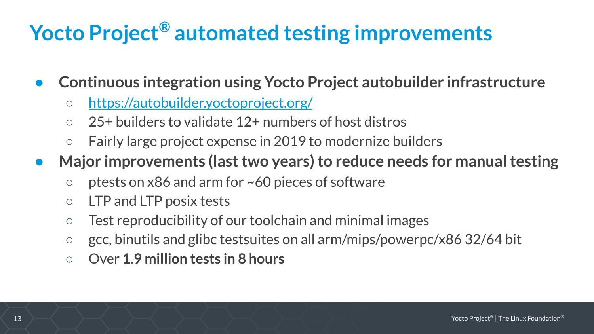## **Yocto Project® automated testing improvements**

- **● Continuous integration using Yocto Project autobuilder infrastructure**
	- <https://autobuilder.yoctoproject.org/>
	- 25+ builders to validate 12+ numbers of host distros
	- Fairly large project expense in 2019 to modernize builders
- **● Major improvements (last two years) to reduce needs for manual testing**
	- $\circ$  ptests on x86 and arm for ~60 pieces of software
	- $\circ$  LTP and LTP posix tests
	- Test reproducibility of our toolchain and minimal images
	- gcc, binutils and glibc testsuites on all arm/mips/powerpc/x86 32/64 bit
	- Over **1.9 million tests in 8 hours**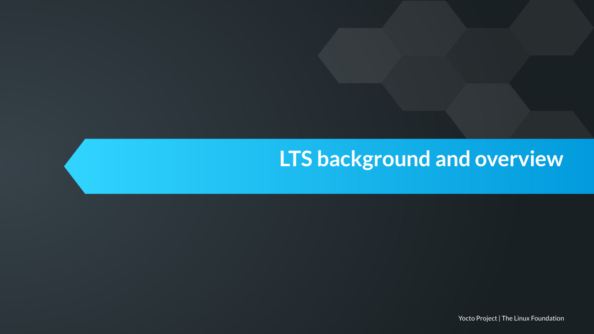#### **LTS background and overview**

Yocto Project | The Linux Foundation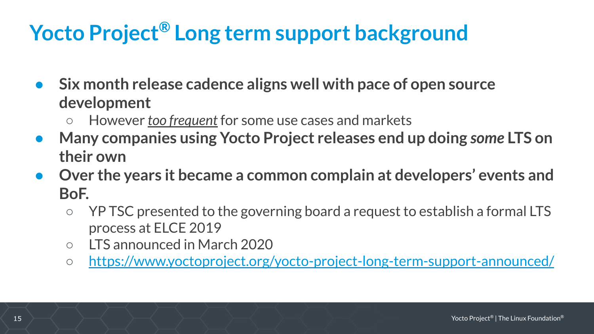# **Yocto Project® Long term support background**

- **● Six month release cadence aligns well with pace of open source development**
	- However *too frequent* for some use cases and markets
- **● Many companies using Yocto Project releases end up doing** *some* **LTS on their own**
- **● Over the years it became a common complain at developers' events and BoF.**
	- YP TSC presented to the governing board a request to establish a formal LTS process at ELCE 2019
	- LTS announced in March 2020
	- <https://www.yoctoproject.org/yocto-project-long-term-support-announced/>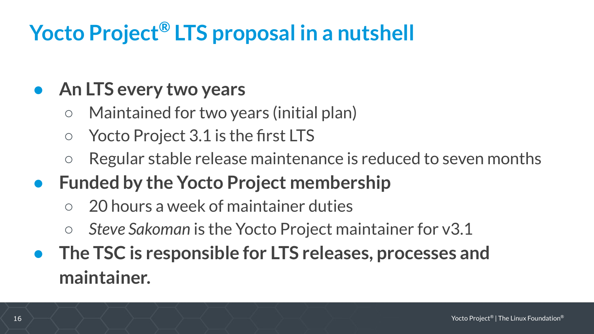# **Yocto Project® LTS proposal in a nutshell**

#### **● An LTS every two years**

- Maintained for two years (initial plan)
- Yocto Project 3.1 is the first LTS
- Regular stable release maintenance is reduced to seven months
- **● Funded by the Yocto Project membership**
	- 20 hours a week of maintainer duties
	- *Steve Sakoman* is the Yocto Project maintainer for v3.1
- **● The TSC is responsible for LTS releases, processes and maintainer.**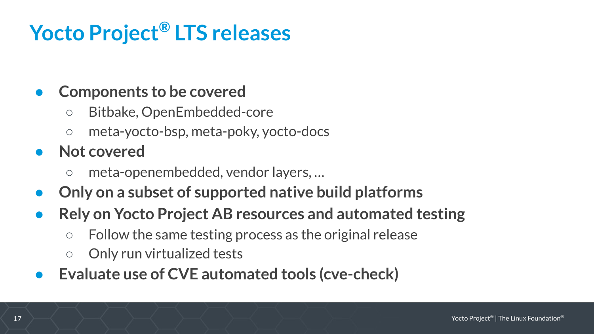# **Yocto Project® LTS releases**

#### **● Components to be covered**

- Bitbake, OpenEmbedded-core
- meta-yocto-bsp, meta-poky, yocto-docs
- **● Not covered**
	- meta-openembedded, vendor layers, …
- **● Only on a subset of supported native build platforms**
- **● Rely on Yocto Project AB resources and automated testing**
	- Follow the same testing process as the original release
	- Only run virtualized tests
- **● Evaluate use of CVE automated tools (cve-check)**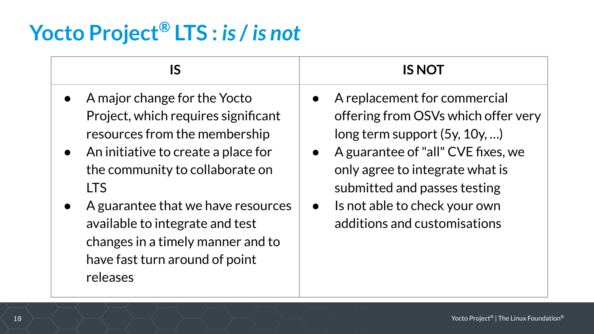# **Yocto Project® LTS :** *is* **/** *is not*

| IS                                                                                                                                                                                                                                                                                                                                                                 | <b>IS NOT</b>                                                                                                                                                                                                                                                                                 |
|--------------------------------------------------------------------------------------------------------------------------------------------------------------------------------------------------------------------------------------------------------------------------------------------------------------------------------------------------------------------|-----------------------------------------------------------------------------------------------------------------------------------------------------------------------------------------------------------------------------------------------------------------------------------------------|
| A major change for the Yocto<br>Project, which requires significant<br>resources from the membership<br>$\bullet$ An initiative to create a place for<br>the community to collaborate on<br><b>LTS</b><br>A guarantee that we have resources<br>available to integrate and test<br>changes in a timely manner and to<br>have fast turn around of point<br>releases | A replacement for commercial<br>offering from OSVs which offer very<br>long term support $(5y, 10y, )$<br>A guarantee of "all" CVE fixes, we<br>only agree to integrate what is<br>submitted and passes testing<br>Is not able to check your own<br>$\bullet$<br>additions and customisations |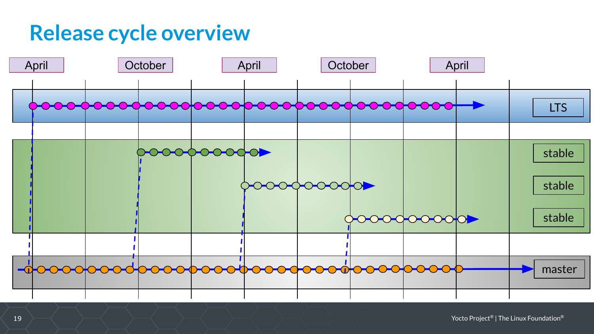#### **Release cycle overview**

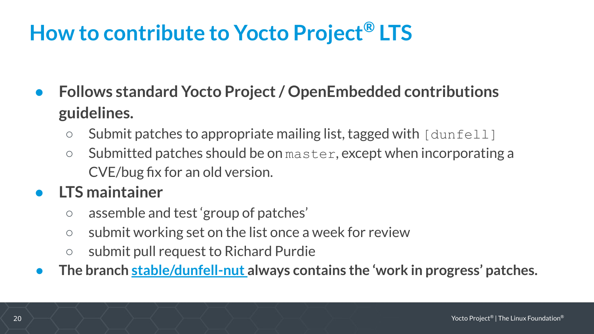#### **How to contribute to Yocto Project® LTS**

- **● Follows standard Yocto Project / OpenEmbedded contributions guidelines.**
	- $\circ$  Submit patches to appropriate mailing list, tagged with  $\lceil \text{dunfull} \rceil$
	- Submitted patches should be on master, except when incorporating a CVE/bug fix for an old version.

#### **● LTS maintainer**

- assemble and test 'group of patches'
- submit working set on the list once a week for review
- submit pull request to Richard Purdie
- **● The branch [stable/dunfell-nut a](https://git.yoctoproject.org/cgit/cgit.cgi/poky-contrib/log/?h=stable/dunfell-nut)lways contains the 'work in progress' patches.**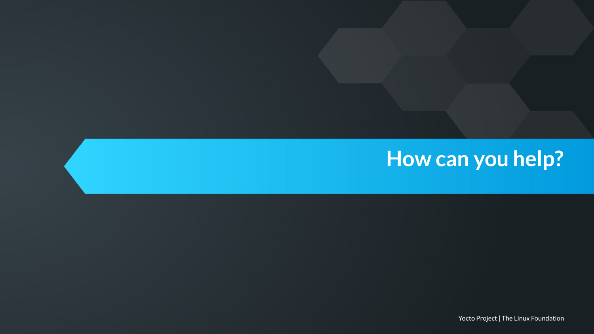#### **How can you help?**

Yocto Project | The Linux Foundation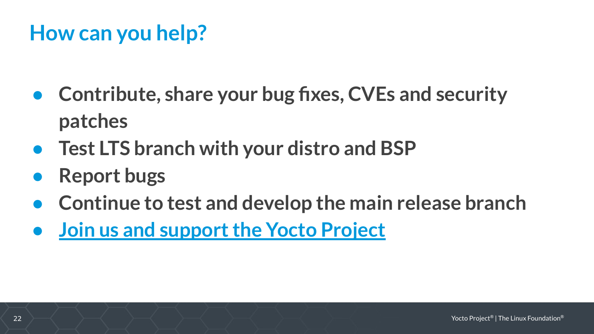#### **How can you help?**

- **● Contribute, share your bug fixes, CVEs and security patches**
- **● Test LTS branch with your distro and BSP**
- **● Report bugs**
- **● Continue to test and develop the main release branch**
- **● [Join us and support the Yocto Project](https://www.yoctoproject.org/how-to-join/)**